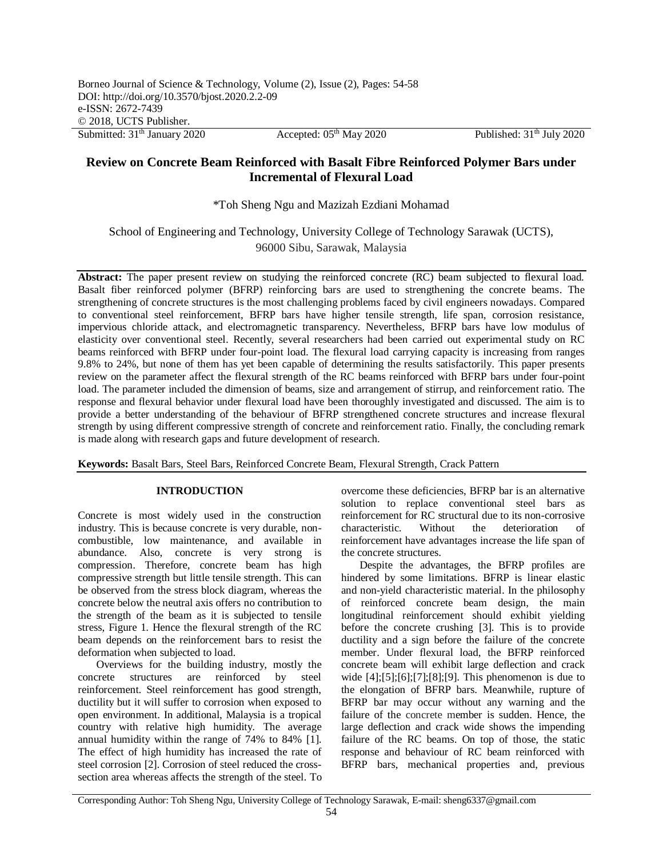Published:  $31<sup>th</sup>$  July 2020

# **Review on Concrete Beam Reinforced with Basalt Fibre Reinforced Polymer Bars under Incremental of Flexural Load**

\*Toh Sheng Ngu and Mazizah Ezdiani Mohamad

School of Engineering and Technology, University College of Technology Sarawak (UCTS), 96000 Sibu, Sarawak, Malaysia

**Abstract:** The paper present review on studying the reinforced concrete (RC) beam subjected to flexural load. Basalt fiber reinforced polymer (BFRP) reinforcing bars are used to strengthening the concrete beams. The strengthening of concrete structures is the most challenging problems faced by civil engineers nowadays. Compared to conventional steel reinforcement, BFRP bars have higher tensile strength, life span, corrosion resistance, impervious chloride attack, and electromagnetic transparency. Nevertheless, BFRP bars have low modulus of elasticity over conventional steel. Recently, several researchers had been carried out experimental study on RC beams reinforced with BFRP under four-point load. The flexural load carrying capacity is increasing from ranges 9.8% to 24%, but none of them has yet been capable of determining the results satisfactorily. This paper presents review on the parameter affect the flexural strength of the RC beams reinforced with BFRP bars under four-point load. The parameter included the dimension of beams, size and arrangement of stirrup, and reinforcement ratio. The response and flexural behavior under flexural load have been thoroughly investigated and discussed. The aim is to provide a better understanding of the behaviour of BFRP strengthened concrete structures and increase flexural strength by using different compressive strength of concrete and reinforcement ratio. Finally, the concluding remark is made along with research gaps and future development of research.

**Keywords:** Basalt Bars, Steel Bars, Reinforced Concrete Beam, Flexural Strength, Crack Pattern

## **INTRODUCTION**

Concrete is most widely used in the construction industry. This is because concrete is very durable, noncombustible, low maintenance, and available in abundance. Also, concrete is very strong is compression. Therefore, concrete beam has high compressive strength but little tensile strength. This can be observed from the stress block diagram, whereas the concrete below the neutral axis offers no contribution to the strength of the beam as it is subjected to tensile stress, Figure 1. Hence the flexural strength of the RC beam depends on the reinforcement bars to resist the deformation when subjected to load.

Overviews for the building industry, mostly the concrete structures are reinforced by steel reinforcement. Steel reinforcement has good strength, ductility but it will suffer to corrosion when exposed to open environment. In additional, Malaysia is a tropical country with relative high humidity. The average annual humidity within the range of 74% to 84% [1]. The effect of high humidity has increased the rate of steel corrosion [2]. Corrosion of steel reduced the crosssection area whereas affects the strength of the steel. To overcome these deficiencies, BFRP bar is an alternative solution to replace conventional steel bars as reinforcement for RC structural due to its non-corrosive characteristic. Without the deterioration of reinforcement have advantages increase the life span of the concrete structures.

Despite the advantages, the BFRP profiles are hindered by some limitations. BFRP is linear elastic and non-yield characteristic material. In the philosophy of reinforced concrete beam design, the main longitudinal reinforcement should exhibit yielding before the concrete crushing [3]. This is to provide ductility and a sign before the failure of the concrete member. Under flexural load, the BFRP reinforced concrete beam will exhibit large deflection and crack wide  $[4]$ ; $[5]$ ; $[6]$ ; $[7]$ ; $[8]$ ; $[9]$ . This phenomenon is due to the elongation of BFRP bars. Meanwhile, rupture of BFRP bar may occur without any warning and the failure of the concrete member is sudden. Hence, the large deflection and crack wide shows the impending failure of the RC beams. On top of those, the static response and behaviour of RC beam reinforced with BFRP bars, mechanical properties and, previous

Corresponding Author: Toh Sheng Ngu, University College of Technology Sarawak, E-mail: sheng6337@gmail.com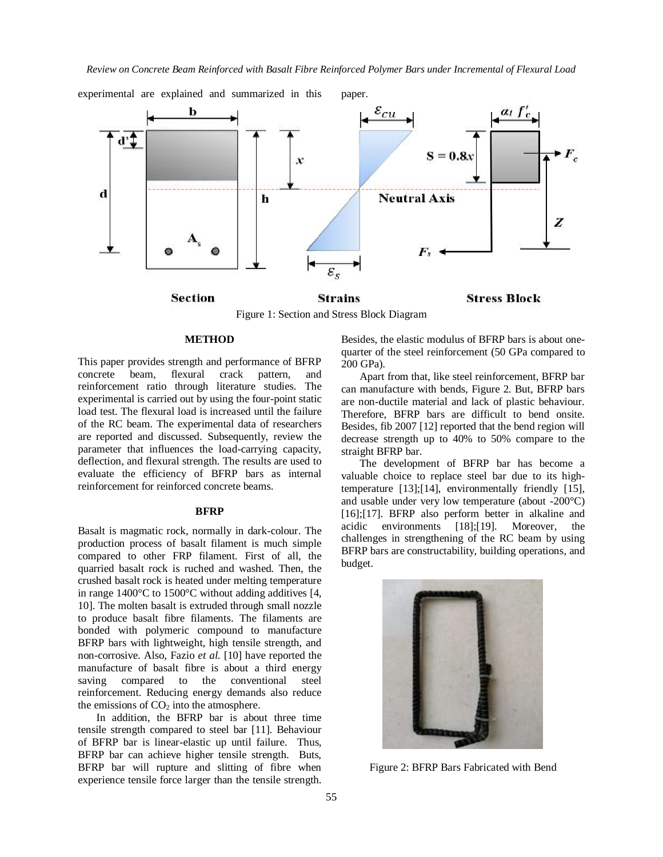

experimental are explained and summarized in this paper.

Figure 1: Section and Stress Block Diagram

## **Stress Block**

## **METHOD**

This paper provides strength and performance of BFRP concrete beam, flexural crack pattern, and reinforcement ratio through literature studies. The experimental is carried out by using the four-point static load test. The flexural load is increased until the failure of the RC beam. The experimental data of researchers are reported and discussed. Subsequently, review the parameter that influences the load-carrying capacity, deflection, and flexural strength. The results are used to evaluate the efficiency of BFRP bars as internal reinforcement for reinforced concrete beams.

#### **BFRP**

Basalt is magmatic rock, normally in dark-colour. The production process of basalt filament is much simple compared to other FRP filament. First of all, the quarried basalt rock is ruched and washed. Then, the crushed basalt rock is heated under melting temperature in range 1400°C to 1500°C without adding additives [4, 10]. The molten basalt is extruded through small nozzle to produce basalt fibre filaments. The filaments are bonded with polymeric compound to manufacture BFRP bars with lightweight, high tensile strength, and non-corrosive. Also, Fazio *et al.* [10] have reported the manufacture of basalt fibre is about a third energy saving compared to the conventional steel reinforcement. Reducing energy demands also reduce the emissions of  $CO<sub>2</sub>$  into the atmosphere.

In addition, the BFRP bar is about three time tensile strength compared to steel bar [11]. Behaviour of BFRP bar is linear-elastic up until failure. Thus, BFRP bar can achieve higher tensile strength. Buts, BFRP bar will rupture and slitting of fibre when experience tensile force larger than the tensile strength.

Besides, the elastic modulus of BFRP bars is about onequarter of the steel reinforcement (50 GPa compared to 200 GPa).

Apart from that, like steel reinforcement, BFRP bar can manufacture with bends, Figure 2. But, BFRP bars are non-ductile material and lack of plastic behaviour. Therefore, BFRP bars are difficult to bend onsite. Besides, fib 2007 [12] reported that the bend region will decrease strength up to 40% to 50% compare to the straight BFRP bar.

The development of BFRP bar has become a valuable choice to replace steel bar due to its hightemperature [13];[14], environmentally friendly [15], and usable under very low temperature (about -200°C) [16];[17]. BFRP also perform better in alkaline and acidic environments [18];[19]. Moreover, the challenges in strengthening of the RC beam by using BFRP bars are constructability, building operations, and budget.



Figure 2: BFRP Bars Fabricated with Bend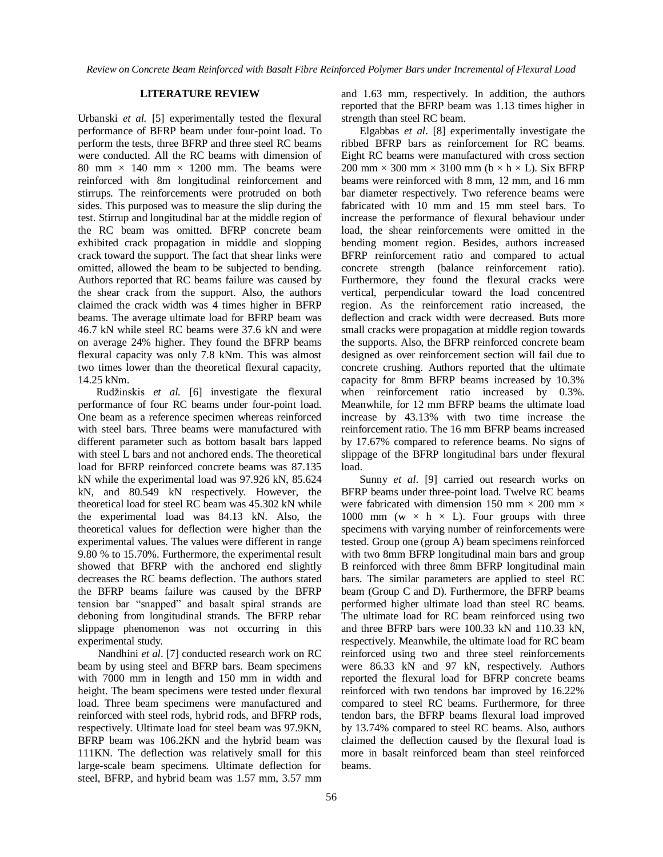#### **LITERATURE REVIEW**

Urbanski *et al.* [5] experimentally tested the flexural performance of BFRP beam under four-point load. To perform the tests, three BFRP and three steel RC beams were conducted. All the RC beams with dimension of 80 mm  $\times$  140 mm  $\times$  1200 mm. The beams were reinforced with 8m longitudinal reinforcement and stirrups. The reinforcements were protruded on both sides. This purposed was to measure the slip during the test. Stirrup and longitudinal bar at the middle region of the RC beam was omitted. BFRP concrete beam exhibited crack propagation in middle and slopping crack toward the support. The fact that shear links were omitted, allowed the beam to be subjected to bending. Authors reported that RC beams failure was caused by the shear crack from the support. Also, the authors claimed the crack width was 4 times higher in BFRP beams. The average ultimate load for BFRP beam was 46.7 kN while steel RC beams were 37.6 kN and were on average 24% higher. They found the BFRP beams flexural capacity was only 7.8 kNm. This was almost two times lower than the theoretical flexural capacity, 14.25 kNm.

Rudžinskis *et al.* [6] investigate the flexural performance of four RC beams under four-point load. One beam as a reference specimen whereas reinforced with steel bars. Three beams were manufactured with different parameter such as bottom basalt bars lapped with steel L bars and not anchored ends. The theoretical load for BFRP reinforced concrete beams was 87.135 kN while the experimental load was 97.926 kN, 85.624 kN, and 80.549 kN respectively. However, the theoretical load for steel RC beam was 45.302 kN while the experimental load was 84.13 kN. Also, the theoretical values for deflection were higher than the experimental values. The values were different in range 9.80 % to 15.70%. Furthermore, the experimental result showed that BFRP with the anchored end slightly decreases the RC beams deflection. The authors stated the BFRP beams failure was caused by the BFRP tension bar "snapped" and basalt spiral strands are deboning from longitudinal strands. The BFRP rebar slippage phenomenon was not occurring in this experimental study.

Nandhini *et al*. [7] conducted research work on RC beam by using steel and BFRP bars. Beam specimens with 7000 mm in length and 150 mm in width and height. The beam specimens were tested under flexural load. Three beam specimens were manufactured and reinforced with steel rods, hybrid rods, and BFRP rods, respectively. Ultimate load for steel beam was 97.9KN, BFRP beam was 106.2KN and the hybrid beam was 111KN. The deflection was relatively small for this large-scale beam specimens. Ultimate deflection for steel, BFRP, and hybrid beam was 1.57 mm, 3.57 mm

and 1.63 mm, respectively. In addition, the authors reported that the BFRP beam was 1.13 times higher in strength than steel RC beam.

Elgabbas *et al*. [8] experimentally investigate the ribbed BFRP bars as reinforcement for RC beams. Eight RC beams were manufactured with cross section 200 mm  $\times$  300 mm  $\times$  3100 mm (b  $\times$  h  $\times$  L). Six BFRP beams were reinforced with 8 mm, 12 mm, and 16 mm bar diameter respectively. Two reference beams were fabricated with 10 mm and 15 mm steel bars. To increase the performance of flexural behaviour under load, the shear reinforcements were omitted in the bending moment region. Besides, authors increased BFRP reinforcement ratio and compared to actual concrete strength (balance reinforcement ratio). Furthermore, they found the flexural cracks were vertical, perpendicular toward the load concentred region. As the reinforcement ratio increased, the deflection and crack width were decreased. Buts more small cracks were propagation at middle region towards the supports. Also, the BFRP reinforced concrete beam designed as over reinforcement section will fail due to concrete crushing. Authors reported that the ultimate capacity for 8mm BFRP beams increased by 10.3% when reinforcement ratio increased by 0.3%. Meanwhile, for 12 mm BFRP beams the ultimate load increase by 43.13% with two time increase the reinforcement ratio. The 16 mm BFRP beams increased by 17.67% compared to reference beams. No signs of slippage of the BFRP longitudinal bars under flexural load.

Sunny *et al*. [9] carried out research works on BFRP beams under three-point load. Twelve RC beams were fabricated with dimension 150 mm  $\times$  200 mm  $\times$ 1000 mm (w  $\times$  h  $\times$  L). Four groups with three specimens with varying number of reinforcements were tested. Group one (group A) beam specimens reinforced with two 8mm BFRP longitudinal main bars and group B reinforced with three 8mm BFRP longitudinal main bars. The similar parameters are applied to steel RC beam (Group C and D). Furthermore, the BFRP beams performed higher ultimate load than steel RC beams. The ultimate load for RC beam reinforced using two and three BFRP bars were 100.33 kN and 110.33 kN, respectively. Meanwhile, the ultimate load for RC beam reinforced using two and three steel reinforcements were 86.33 kN and 97 kN, respectively. Authors reported the flexural load for BFRP concrete beams reinforced with two tendons bar improved by 16.22% compared to steel RC beams. Furthermore, for three tendon bars, the BFRP beams flexural load improved by 13.74% compared to steel RC beams. Also, authors claimed the deflection caused by the flexural load is more in basalt reinforced beam than steel reinforced beams.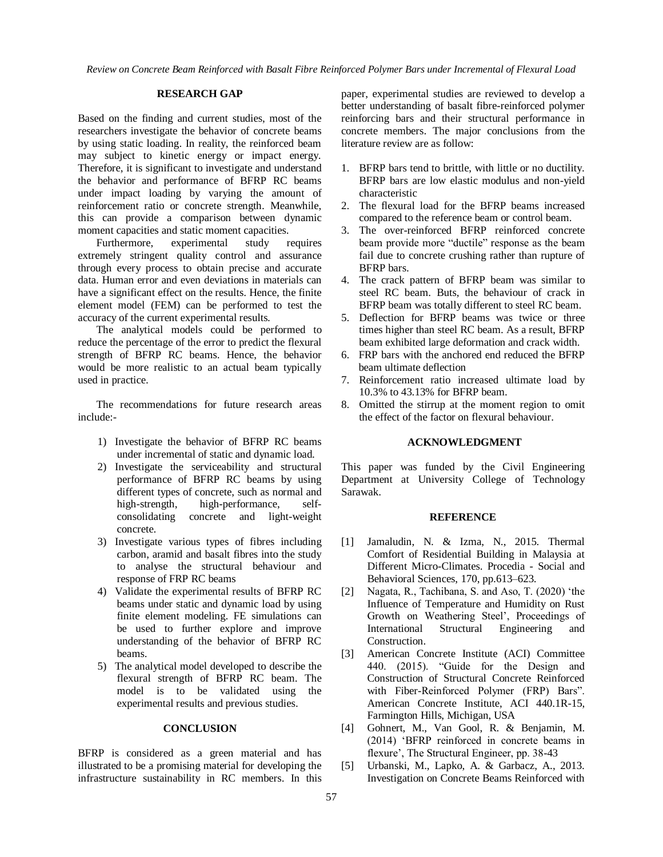*Review on Concrete Beam Reinforced with Basalt Fibre Reinforced Polymer Bars under Incremental of Flexural Load*

### **RESEARCH GAP**

Based on the finding and current studies, most of the researchers investigate the behavior of concrete beams by using static loading. In reality, the reinforced beam may subject to kinetic energy or impact energy. Therefore, it is significant to investigate and understand the behavior and performance of BFRP RC beams under impact loading by varying the amount of reinforcement ratio or concrete strength. Meanwhile, this can provide a comparison between dynamic moment capacities and static moment capacities.

Furthermore, experimental study requires extremely stringent quality control and assurance through every process to obtain precise and accurate data. Human error and even deviations in materials can have a significant effect on the results. Hence, the finite element model (FEM) can be performed to test the accuracy of the current experimental results.

The analytical models could be performed to reduce the percentage of the error to predict the flexural strength of BFRP RC beams. Hence, the behavior would be more realistic to an actual beam typically used in practice.

The recommendations for future research areas include:-

- 1) Investigate the behavior of BFRP RC beams under incremental of static and dynamic load.
- 2) Investigate the serviceability and structural performance of BFRP RC beams by using different types of concrete, such as normal and high-strength, high-performance, selfconsolidating concrete and light-weight concrete.
- 3) Investigate various types of fibres including carbon, aramid and basalt fibres into the study to analyse the structural behaviour and response of FRP RC beams
- 4) Validate the experimental results of BFRP RC beams under static and dynamic load by using finite element modeling. FE simulations can be used to further explore and improve understanding of the behavior of BFRP RC beams.
- 5) The analytical model developed to describe the flexural strength of BFRP RC beam. The model is to be validated using the experimental results and previous studies.

## **CONCLUSION**

BFRP is considered as a green material and has illustrated to be a promising material for developing the infrastructure sustainability in RC members. In this paper, experimental studies are reviewed to develop a better understanding of basalt fibre-reinforced polymer reinforcing bars and their structural performance in concrete members. The major conclusions from the literature review are as follow:

- 1. BFRP bars tend to brittle, with little or no ductility. BFRP bars are low elastic modulus and non-yield characteristic
- 2. The flexural load for the BFRP beams increased compared to the reference beam or control beam.
- 3. The over-reinforced BFRP reinforced concrete beam provide more "ductile" response as the beam fail due to concrete crushing rather than rupture of BFRP bars.
- 4. The crack pattern of BFRP beam was similar to steel RC beam. Buts, the behaviour of crack in BFRP beam was totally different to steel RC beam.
- 5. Deflection for BFRP beams was twice or three times higher than steel RC beam. As a result, BFRP beam exhibited large deformation and crack width.
- 6. FRP bars with the anchored end reduced the BFRP beam ultimate deflection
- 7. Reinforcement ratio increased ultimate load by 10.3% to 43.13% for BFRP beam.
- 8. Omitted the stirrup at the moment region to omit the effect of the factor on flexural behaviour.

### **ACKNOWLEDGMENT**

This paper was funded by the Civil Engineering Department at University College of Technology Sarawak.

#### **REFERENCE**

- [1] Jamaludin, N. & Izma, N., 2015. Thermal Comfort of Residential Building in Malaysia at Different Micro-Climates. Procedia - Social and Behavioral Sciences, 170, pp.613–623.
- [2] Nagata, R., Tachibana, S. and Aso, T. (2020) 'the Influence of Temperature and Humidity on Rust Growth on Weathering Steel', Proceedings of International Structural Engineering and **Construction**
- [3] American Concrete Institute (ACI) Committee 440. (2015). "Guide for the Design and Construction of Structural Concrete Reinforced with Fiber-Reinforced Polymer (FRP) Bars". American Concrete Institute, ACI 440.1R-15, Farmington Hills, Michigan, USA
- [4] Gohnert, M., Van Gool, R. & Benjamin, M. (2014) 'BFRP reinforced in concrete beams in flexure', The Structural Engineer, pp. 38-43
- [5] Urbanski, M., Lapko, A. & Garbacz, A., 2013. Investigation on Concrete Beams Reinforced with